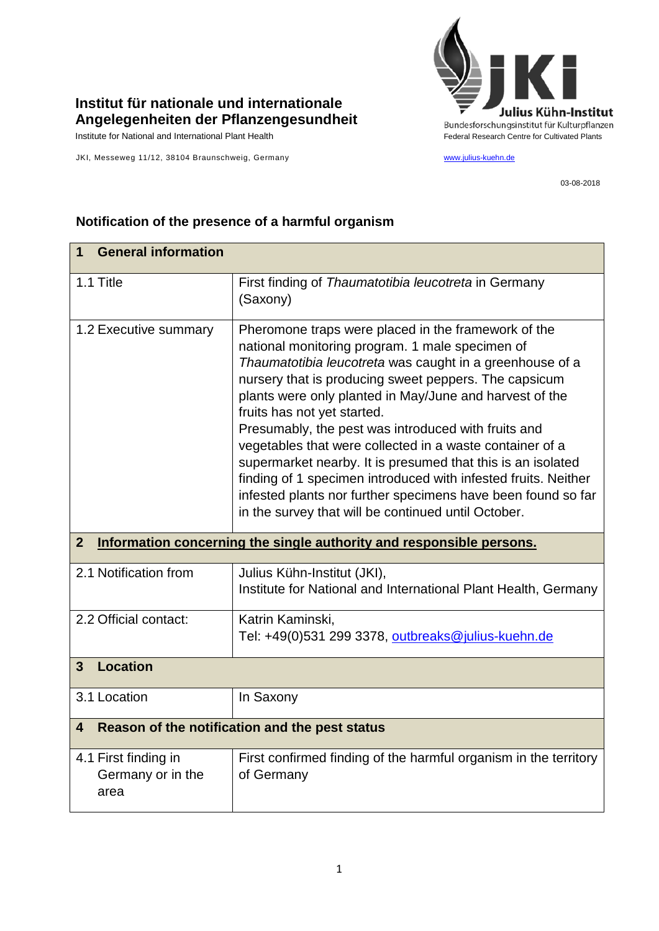

## **Institut für nationale und internationale Angelegenheiten der Pflanzengesundheit**

JKI, Messeweg 11/12, 38104 Braunschweig, Germany [www.julius-kuehn.de](http://www.julius-kuehn.de/)

03-08-2018

| <b>General information</b><br>1                                                        |                                                                                                                                                                                                                                                                                                                                                                                                                                                                                                                                                                                                                                                                                                  |  |
|----------------------------------------------------------------------------------------|--------------------------------------------------------------------------------------------------------------------------------------------------------------------------------------------------------------------------------------------------------------------------------------------------------------------------------------------------------------------------------------------------------------------------------------------------------------------------------------------------------------------------------------------------------------------------------------------------------------------------------------------------------------------------------------------------|--|
| 1.1 Title                                                                              | First finding of Thaumatotibia leucotreta in Germany<br>(Saxony)                                                                                                                                                                                                                                                                                                                                                                                                                                                                                                                                                                                                                                 |  |
| 1.2 Executive summary                                                                  | Pheromone traps were placed in the framework of the<br>national monitoring program. 1 male specimen of<br>Thaumatotibia leucotreta was caught in a greenhouse of a<br>nursery that is producing sweet peppers. The capsicum<br>plants were only planted in May/June and harvest of the<br>fruits has not yet started.<br>Presumably, the pest was introduced with fruits and<br>vegetables that were collected in a waste container of a<br>supermarket nearby. It is presumed that this is an isolated<br>finding of 1 specimen introduced with infested fruits. Neither<br>infested plants nor further specimens have been found so far<br>in the survey that will be continued until October. |  |
| Information concerning the single authority and responsible persons.<br>$\overline{2}$ |                                                                                                                                                                                                                                                                                                                                                                                                                                                                                                                                                                                                                                                                                                  |  |
|                                                                                        |                                                                                                                                                                                                                                                                                                                                                                                                                                                                                                                                                                                                                                                                                                  |  |
| 2.1 Notification from                                                                  | Julius Kühn-Institut (JKI),<br>Institute for National and International Plant Health, Germany                                                                                                                                                                                                                                                                                                                                                                                                                                                                                                                                                                                                    |  |
| 2.2 Official contact:                                                                  | Katrin Kaminski,<br>Tel: +49(0)531 299 3378, outbreaks@julius-kuehn.de                                                                                                                                                                                                                                                                                                                                                                                                                                                                                                                                                                                                                           |  |
| <b>Location</b><br>3                                                                   |                                                                                                                                                                                                                                                                                                                                                                                                                                                                                                                                                                                                                                                                                                  |  |
| 3.1 Location                                                                           | In Saxony                                                                                                                                                                                                                                                                                                                                                                                                                                                                                                                                                                                                                                                                                        |  |
| 4                                                                                      | Reason of the notification and the pest status                                                                                                                                                                                                                                                                                                                                                                                                                                                                                                                                                                                                                                                   |  |

## **Notification of the presence of a harmful organism**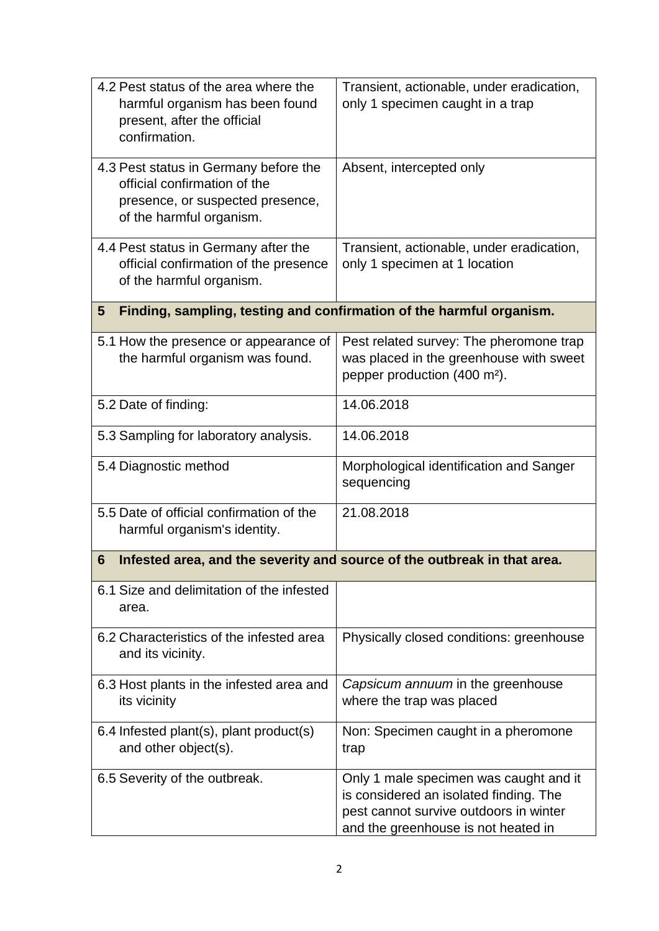| 4.2 Pest status of the area where the<br>harmful organism has been found<br>present, after the official<br>confirmation.              | Transient, actionable, under eradication,<br>only 1 specimen caught in a trap                                                                                     |  |
|---------------------------------------------------------------------------------------------------------------------------------------|-------------------------------------------------------------------------------------------------------------------------------------------------------------------|--|
| 4.3 Pest status in Germany before the<br>official confirmation of the<br>presence, or suspected presence,<br>of the harmful organism. | Absent, intercepted only                                                                                                                                          |  |
| 4.4 Pest status in Germany after the<br>official confirmation of the presence<br>of the harmful organism.                             | Transient, actionable, under eradication,<br>only 1 specimen at 1 location                                                                                        |  |
| Finding, sampling, testing and confirmation of the harmful organism.<br>5                                                             |                                                                                                                                                                   |  |
| 5.1 How the presence or appearance of<br>the harmful organism was found.                                                              | Pest related survey: The pheromone trap<br>was placed in the greenhouse with sweet<br>pepper production (400 m <sup>2</sup> ).                                    |  |
| 5.2 Date of finding:                                                                                                                  | 14.06.2018                                                                                                                                                        |  |
| 5.3 Sampling for laboratory analysis.                                                                                                 | 14.06.2018                                                                                                                                                        |  |
| 5.4 Diagnostic method                                                                                                                 | Morphological identification and Sanger<br>sequencing                                                                                                             |  |
| 5.5 Date of official confirmation of the<br>harmful organism's identity.                                                              | 21.08.2018                                                                                                                                                        |  |
| Infested area, and the severity and source of the outbreak in that area.<br>6                                                         |                                                                                                                                                                   |  |
| 6.1 Size and delimitation of the infested<br>area.                                                                                    |                                                                                                                                                                   |  |
| 6.2 Characteristics of the infested area<br>and its vicinity.                                                                         | Physically closed conditions: greenhouse                                                                                                                          |  |
| 6.3 Host plants in the infested area and<br>its vicinity                                                                              | Capsicum annuum in the greenhouse<br>where the trap was placed                                                                                                    |  |
| 6.4 Infested plant(s), plant product(s)<br>and other object(s).                                                                       | Non: Specimen caught in a pheromone<br>trap                                                                                                                       |  |
| 6.5 Severity of the outbreak.                                                                                                         | Only 1 male specimen was caught and it<br>is considered an isolated finding. The<br>pest cannot survive outdoors in winter<br>and the greenhouse is not heated in |  |